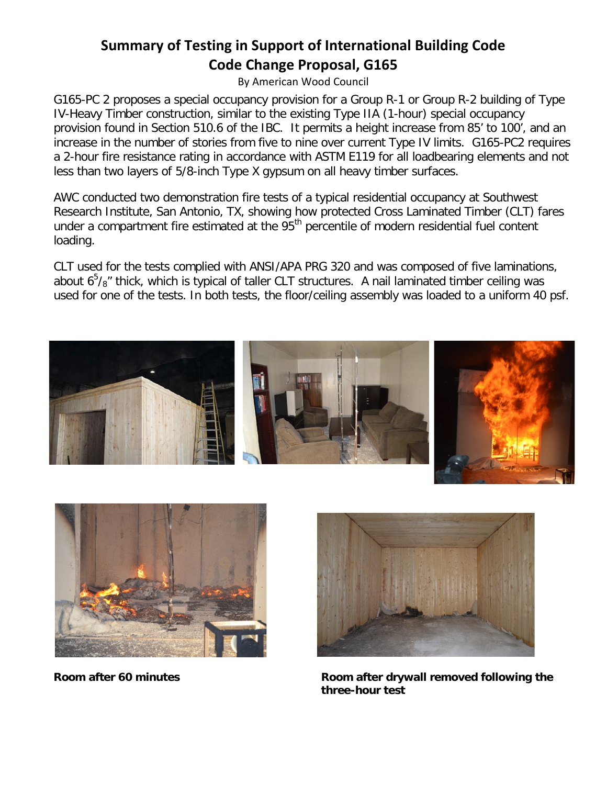## **Summary of Testing in Support of International Building Code Code Change Proposal, G165**

By American Wood Council

G165-PC 2 proposes a special occupancy provision for a Group R-1 or Group R-2 building of Type IV-Heavy Timber construction, similar to the existing Type IIA (1-hour) special occupancy provision found in Section 510.6 of the IBC. It permits a height increase from 85' to 100', and an increase in the number of stories from five to nine over current Type IV limits. G165-PC2 requires a 2-hour fire resistance rating in accordance with ASTM E119 for all loadbearing elements and not less than two layers of 5/8-inch Type X gypsum on all heavy timber surfaces.

AWC conducted two demonstration fire tests of a typical residential occupancy at Southwest Research Institute, San Antonio, TX, showing how protected Cross Laminated Timber (CLT) fares under a compartment fire estimated at the  $95<sup>th</sup>$  percentile of modern residential fuel content loading.

CLT used for the tests complied with ANSI/APA PRG 320 and was composed of five laminations, about  $6^5$ / $8''$  thick, which is typical of taller CLT structures. A nail laminated timber ceiling was used for one of the tests. In both tests, the floor/ceiling assembly was loaded to a uniform 40 psf.







**Room after 60 minutes Room after drywall removed following the three-hour test**